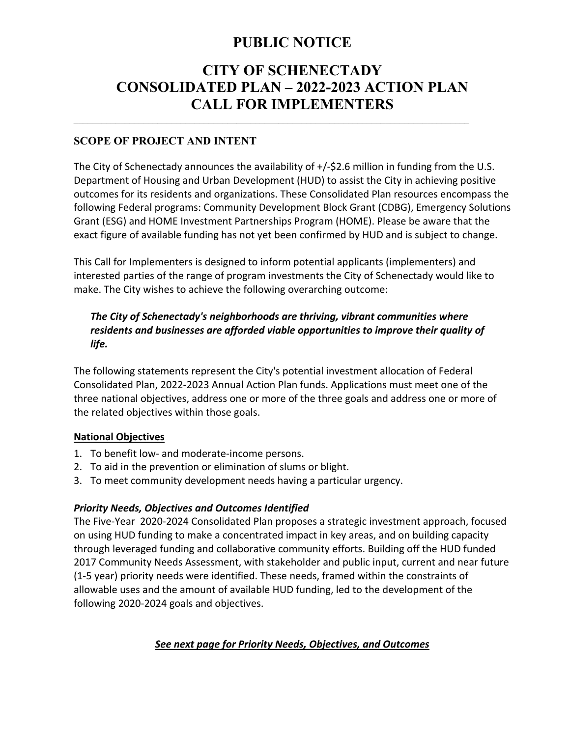# **PUBLIC NOTICE**

# **CITY OF SCHENECTADY CONSOLIDATED PLAN – 2022-2023 ACTION PLAN CALL FOR IMPLEMENTERS**  $\mathcal{L}_\mathcal{L} = \{ \mathcal{L}_\mathcal{L} = \{ \mathcal{L}_\mathcal{L} = \{ \mathcal{L}_\mathcal{L} = \{ \mathcal{L}_\mathcal{L} = \{ \mathcal{L}_\mathcal{L} = \{ \mathcal{L}_\mathcal{L} = \{ \mathcal{L}_\mathcal{L} = \{ \mathcal{L}_\mathcal{L} = \{ \mathcal{L}_\mathcal{L} = \{ \mathcal{L}_\mathcal{L} = \{ \mathcal{L}_\mathcal{L} = \{ \mathcal{L}_\mathcal{L} = \{ \mathcal{L}_\mathcal{L} = \{ \mathcal{L}_\mathcal{$

## **SCOPE OF PROJECT AND INTENT**

The City of Schenectady announces the availability of  $+/-$ \$2.6 million in funding from the U.S. Department of Housing and Urban Development (HUD) to assist the City in achieving positive outcomes for its residents and organizations. These Consolidated Plan resources encompass the following Federal programs: Community Development Block Grant (CDBG), Emergency Solutions Grant (ESG) and HOME Investment Partnerships Program (HOME). Please be aware that the exact figure of available funding has not yet been confirmed by HUD and is subject to change.

This Call for Implementers is designed to inform potential applicants (implementers) and interested parties of the range of program investments the City of Schenectady would like to make. The City wishes to achieve the following overarching outcome:

## *The City of Schenectady's neighborhoods are thriving, vibrant communities where residents and businesses are afforded viable opportunities to improve their quality of life.*

The following statements represent the City's potential investment allocation of Federal Consolidated Plan, 2022‐2023 Annual Action Plan funds. Applications must meet one of the three national objectives, address one or more of the three goals and address one or more of the related objectives within those goals.

#### **National Objectives**

- 1. To benefit low‐ and moderate‐income persons.
- 2. To aid in the prevention or elimination of slums or blight.
- 3. To meet community development needs having a particular urgency.

#### *Priority Needs, Objectives and Outcomes Identified*

The Five‐Year 2020‐2024 Consolidated Plan proposes a strategic investment approach, focused on using HUD funding to make a concentrated impact in key areas, and on building capacity through leveraged funding and collaborative community efforts. Building off the HUD funded 2017 Community Needs Assessment, with stakeholder and public input, current and near future (1‐5 year) priority needs were identified. These needs, framed within the constraints of allowable uses and the amount of available HUD funding, led to the development of the following 2020‐2024 goals and objectives.

# *See next page for Priority Needs, Objectives, and Outcomes*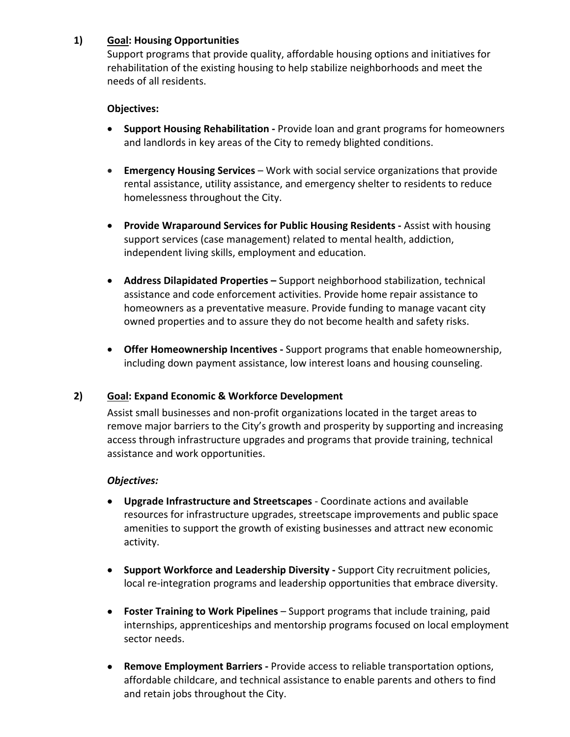#### **1) Goal: Housing Opportunities**

Support programs that provide quality, affordable housing options and initiatives for rehabilitation of the existing housing to help stabilize neighborhoods and meet the needs of all residents.

#### **Objectives:**

- **Support Housing Rehabilitation ‐** Provide loan and grant programs for homeowners and landlords in key areas of the City to remedy blighted conditions.
- **Emergency Housing Services** Work with social service organizations that provide rental assistance, utility assistance, and emergency shelter to residents to reduce homelessness throughout the City.
- **Provide Wraparound Services for Public Housing Residents Assist with housing** support services (case management) related to mental health, addiction, independent living skills, employment and education.
- **Address Dilapidated Properties** Support neighborhood stabilization, technical assistance and code enforcement activities. Provide home repair assistance to homeowners as a preventative measure. Provide funding to manage vacant city owned properties and to assure they do not become health and safety risks.
- **Offer Homeownership Incentives -** Support programs that enable homeownership, including down payment assistance, low interest loans and housing counseling.

#### **2) Goal: Expand Economic & Workforce Development**

Assist small businesses and non‐profit organizations located in the target areas to remove major barriers to the City's growth and prosperity by supporting and increasing access through infrastructure upgrades and programs that provide training, technical assistance and work opportunities.

#### *Objectives:*

- **Upgrade Infrastructure and Streetscapes** ‐ Coordinate actions and available resources for infrastructure upgrades, streetscape improvements and public space amenities to support the growth of existing businesses and attract new economic activity.
- **Support Workforce and Leadership Diversity Support City recruitment policies,** local re-integration programs and leadership opportunities that embrace diversity.
- **Foster Training to Work Pipelines**  Support programs that include training, paid internships, apprenticeships and mentorship programs focused on local employment sector needs.
- **Remove Employment Barriers Provide access to reliable transportation options,** affordable childcare, and technical assistance to enable parents and others to find and retain jobs throughout the City.